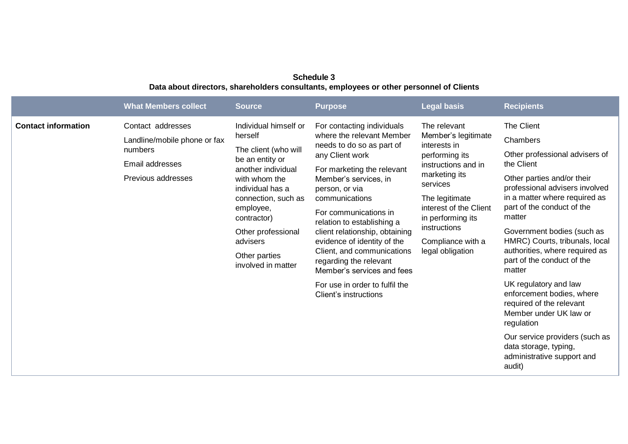## **Schedule 3 Data about directors, shareholders consultants, employees or other personnel of Clients**

|                            | <b>What Members collect</b>                                                                           | <b>Source</b>                                                                                                                                                                                                                                                      | <b>Purpose</b>                                                                                                                                                                                                                                                                                                                                                                                                                                                              | <b>Legal basis</b>                                                                                                                                                                                                                                  | <b>Recipients</b>                                                                                                                                                                                                                                                                                                                                                                                                                                                                                                                                                                      |
|----------------------------|-------------------------------------------------------------------------------------------------------|--------------------------------------------------------------------------------------------------------------------------------------------------------------------------------------------------------------------------------------------------------------------|-----------------------------------------------------------------------------------------------------------------------------------------------------------------------------------------------------------------------------------------------------------------------------------------------------------------------------------------------------------------------------------------------------------------------------------------------------------------------------|-----------------------------------------------------------------------------------------------------------------------------------------------------------------------------------------------------------------------------------------------------|----------------------------------------------------------------------------------------------------------------------------------------------------------------------------------------------------------------------------------------------------------------------------------------------------------------------------------------------------------------------------------------------------------------------------------------------------------------------------------------------------------------------------------------------------------------------------------------|
| <b>Contact information</b> | Contact addresses<br>Landline/mobile phone or fax<br>numbers<br>Email addresses<br>Previous addresses | Individual himself or<br>herself<br>The client (who will<br>be an entity or<br>another individual<br>with whom the<br>individual has a<br>connection, such as<br>employee,<br>contractor)<br>Other professional<br>advisers<br>Other parties<br>involved in matter | For contacting individuals<br>where the relevant Member<br>needs to do so as part of<br>any Client work<br>For marketing the relevant<br>Member's services, in<br>person, or via<br>communications<br>For communications in<br>relation to establishing a<br>client relationship, obtaining<br>evidence of identity of the<br>Client, and communications<br>regarding the relevant<br>Member's services and fees<br>For use in order to fulfil the<br>Client's instructions | The relevant<br>Member's legitimate<br>interests in<br>performing its<br>instructions and in<br>marketing its<br>services<br>The legitimate<br>interest of the Client<br>in performing its<br>instructions<br>Compliance with a<br>legal obligation | The Client<br>Chambers<br>Other professional advisers of<br>the Client<br>Other parties and/or their<br>professional advisers involved<br>in a matter where required as<br>part of the conduct of the<br>matter<br>Government bodies (such as<br>HMRC) Courts, tribunals, local<br>authorities, where required as<br>part of the conduct of the<br>matter<br>UK regulatory and law<br>enforcement bodies, where<br>required of the relevant<br>Member under UK law or<br>regulation<br>Our service providers (such as<br>data storage, typing,<br>administrative support and<br>audit) |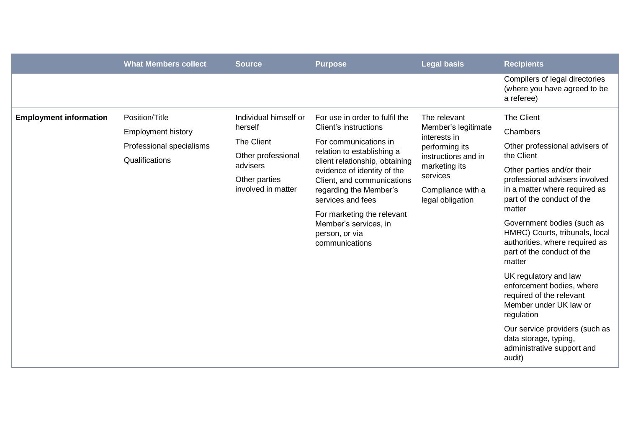|                               | <b>What Members collect</b>                                                               | <b>Source</b>                                                                                                           | <b>Purpose</b>                                                                                                                                                                                                                                                                                                                                          | <b>Legal basis</b>                                                                                                                                                 | <b>Recipients</b>                                                                                                                                                                                                                                                                                                                                                                                                                                                                                                     |
|-------------------------------|-------------------------------------------------------------------------------------------|-------------------------------------------------------------------------------------------------------------------------|---------------------------------------------------------------------------------------------------------------------------------------------------------------------------------------------------------------------------------------------------------------------------------------------------------------------------------------------------------|--------------------------------------------------------------------------------------------------------------------------------------------------------------------|-----------------------------------------------------------------------------------------------------------------------------------------------------------------------------------------------------------------------------------------------------------------------------------------------------------------------------------------------------------------------------------------------------------------------------------------------------------------------------------------------------------------------|
|                               |                                                                                           |                                                                                                                         |                                                                                                                                                                                                                                                                                                                                                         |                                                                                                                                                                    | Compilers of legal directories<br>(where you have agreed to be<br>a referee)                                                                                                                                                                                                                                                                                                                                                                                                                                          |
| <b>Employment information</b> | Position/Title<br><b>Employment history</b><br>Professional specialisms<br>Qualifications | Individual himself or<br>herself<br>The Client<br>Other professional<br>advisers<br>Other parties<br>involved in matter | For use in order to fulfil the<br>Client's instructions<br>For communications in<br>relation to establishing a<br>client relationship, obtaining<br>evidence of identity of the<br>Client, and communications<br>regarding the Member's<br>services and fees<br>For marketing the relevant<br>Member's services, in<br>person, or via<br>communications | The relevant<br>Member's legitimate<br>interests in<br>performing its<br>instructions and in<br>marketing its<br>services<br>Compliance with a<br>legal obligation | The Client<br>Chambers<br>Other professional advisers of<br>the Client<br>Other parties and/or their<br>professional advisers involved<br>in a matter where required as<br>part of the conduct of the<br>matter<br>Government bodies (such as<br>HMRC) Courts, tribunals, local<br>authorities, where required as<br>part of the conduct of the<br>matter<br>UK regulatory and law<br>enforcement bodies, where<br>required of the relevant<br>Member under UK law or<br>regulation<br>Our service providers (such as |
|                               |                                                                                           |                                                                                                                         |                                                                                                                                                                                                                                                                                                                                                         |                                                                                                                                                                    | data storage, typing,<br>administrative support and<br>audit)                                                                                                                                                                                                                                                                                                                                                                                                                                                         |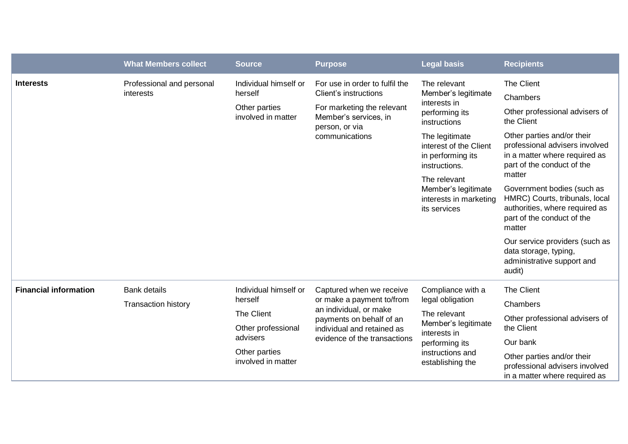|                              | <b>What Members collect</b>                       | <b>Source</b>                                                                                                           | <b>Purpose</b>                                                                                                                                                            | <b>Legal basis</b>                                                                                                                                                                                                                                       | <b>Recipients</b>                                                                                                                                                                                                                                                                                                                                                                                                                                            |
|------------------------------|---------------------------------------------------|-------------------------------------------------------------------------------------------------------------------------|---------------------------------------------------------------------------------------------------------------------------------------------------------------------------|----------------------------------------------------------------------------------------------------------------------------------------------------------------------------------------------------------------------------------------------------------|--------------------------------------------------------------------------------------------------------------------------------------------------------------------------------------------------------------------------------------------------------------------------------------------------------------------------------------------------------------------------------------------------------------------------------------------------------------|
| <b>Interests</b>             | Professional and personal<br>interests            | Individual himself or<br>herself<br>Other parties<br>involved in matter                                                 | For use in order to fulfil the<br>Client's instructions<br>For marketing the relevant<br>Member's services, in<br>person, or via<br>communications                        | The relevant<br>Member's legitimate<br>interests in<br>performing its<br>instructions<br>The legitimate<br>interest of the Client<br>in performing its<br>instructions.<br>The relevant<br>Member's legitimate<br>interests in marketing<br>its services | The Client<br>Chambers<br>Other professional advisers of<br>the Client<br>Other parties and/or their<br>professional advisers involved<br>in a matter where required as<br>part of the conduct of the<br>matter<br>Government bodies (such as<br>HMRC) Courts, tribunals, local<br>authorities, where required as<br>part of the conduct of the<br>matter<br>Our service providers (such as<br>data storage, typing,<br>administrative support and<br>audit) |
| <b>Financial information</b> | <b>Bank details</b><br><b>Transaction history</b> | Individual himself or<br>herself<br>The Client<br>Other professional<br>advisers<br>Other parties<br>involved in matter | Captured when we receive<br>or make a payment to/from<br>an individual, or make<br>payments on behalf of an<br>individual and retained as<br>evidence of the transactions | Compliance with a<br>legal obligation<br>The relevant<br>Member's legitimate<br>interests in<br>performing its<br>instructions and<br>establishing the                                                                                                   | The Client<br>Chambers<br>Other professional advisers of<br>the Client<br>Our bank<br>Other parties and/or their<br>professional advisers involved<br>in a matter where required as                                                                                                                                                                                                                                                                          |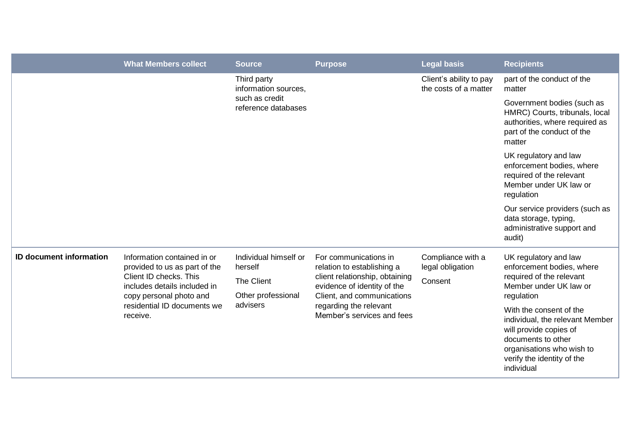|                                | <b>What Members collect</b>                                                                                                                                                                                                       | <b>Source</b>                               | <b>Purpose</b>                                                                                                                                                                                             | <b>Legal basis</b>                               | <b>Recipients</b>                                                                                                                                                                   |
|--------------------------------|-----------------------------------------------------------------------------------------------------------------------------------------------------------------------------------------------------------------------------------|---------------------------------------------|------------------------------------------------------------------------------------------------------------------------------------------------------------------------------------------------------------|--------------------------------------------------|-------------------------------------------------------------------------------------------------------------------------------------------------------------------------------------|
|                                | Third party<br>information sources,                                                                                                                                                                                               |                                             | Client's ability to pay<br>the costs of a matter                                                                                                                                                           | part of the conduct of the<br>matter             |                                                                                                                                                                                     |
|                                |                                                                                                                                                                                                                                   | such as credit<br>reference databases       |                                                                                                                                                                                                            |                                                  | Government bodies (such as<br>HMRC) Courts, tribunals, local<br>authorities, where required as<br>part of the conduct of the<br>matter                                              |
|                                |                                                                                                                                                                                                                                   |                                             |                                                                                                                                                                                                            |                                                  | UK regulatory and law<br>enforcement bodies, where<br>required of the relevant<br>Member under UK law or<br>regulation                                                              |
|                                |                                                                                                                                                                                                                                   |                                             |                                                                                                                                                                                                            |                                                  | Our service providers (such as<br>data storage, typing,<br>administrative support and<br>audit)                                                                                     |
| <b>ID document information</b> | Information contained in or<br>provided to us as part of the<br>herself<br>Client ID checks. This<br>The Client<br>includes details included in<br>copy personal photo and<br>advisers<br>residential ID documents we<br>receive. | Individual himself or<br>Other professional | For communications in<br>relation to establishing a<br>client relationship, obtaining<br>evidence of identity of the<br>Client, and communications<br>regarding the relevant<br>Member's services and fees | Compliance with a<br>legal obligation<br>Consent | UK regulatory and law<br>enforcement bodies, where<br>required of the relevant<br>Member under UK law or<br>regulation                                                              |
|                                |                                                                                                                                                                                                                                   |                                             |                                                                                                                                                                                                            |                                                  | With the consent of the<br>individual, the relevant Member<br>will provide copies of<br>documents to other<br>organisations who wish to<br>verify the identity of the<br>individual |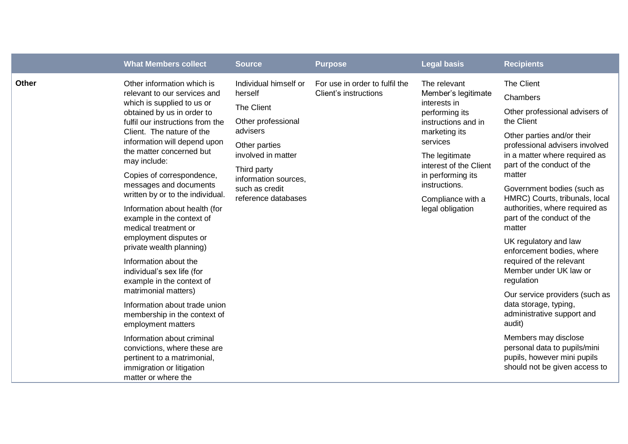|              | <b>What Members collect</b>                                                                                                                                                                                                                                                                                                                                                                                                                                                                                                                                                                                                                                                                                                                                                                                                                                    | <b>Source</b>                                                                                                                                                                                           | <b>Purpose</b>                                          | <b>Legal basis</b>                                                                                                                                                                                                                                   | <b>Recipients</b>                                                                                                                                                                                                                                                                                                                                                                                                                                                                                                                                                                                                                                                                                              |
|--------------|----------------------------------------------------------------------------------------------------------------------------------------------------------------------------------------------------------------------------------------------------------------------------------------------------------------------------------------------------------------------------------------------------------------------------------------------------------------------------------------------------------------------------------------------------------------------------------------------------------------------------------------------------------------------------------------------------------------------------------------------------------------------------------------------------------------------------------------------------------------|---------------------------------------------------------------------------------------------------------------------------------------------------------------------------------------------------------|---------------------------------------------------------|------------------------------------------------------------------------------------------------------------------------------------------------------------------------------------------------------------------------------------------------------|----------------------------------------------------------------------------------------------------------------------------------------------------------------------------------------------------------------------------------------------------------------------------------------------------------------------------------------------------------------------------------------------------------------------------------------------------------------------------------------------------------------------------------------------------------------------------------------------------------------------------------------------------------------------------------------------------------------|
| <b>Other</b> | Other information which is<br>relevant to our services and<br>which is supplied to us or<br>obtained by us in order to<br>fulfil our instructions from the<br>Client. The nature of the<br>information will depend upon<br>the matter concerned but<br>may include:<br>Copies of correspondence,<br>messages and documents<br>written by or to the individual.<br>Information about health (for<br>example in the context of<br>medical treatment or<br>employment disputes or<br>private wealth planning)<br>Information about the<br>individual's sex life (for<br>example in the context of<br>matrimonial matters)<br>Information about trade union<br>membership in the context of<br>employment matters<br>Information about criminal<br>convictions, where these are<br>pertinent to a matrimonial,<br>immigration or litigation<br>matter or where the | Individual himself or<br>herself<br>The Client<br>Other professional<br>advisers<br>Other parties<br>involved in matter<br>Third party<br>information sources.<br>such as credit<br>reference databases | For use in order to fulfil the<br>Client's instructions | The relevant<br>Member's legitimate<br>interests in<br>performing its<br>instructions and in<br>marketing its<br>services<br>The legitimate<br>interest of the Client<br>in performing its<br>instructions.<br>Compliance with a<br>legal obligation | The Client<br>Chambers<br>Other professional advisers of<br>the Client<br>Other parties and/or their<br>professional advisers involved<br>in a matter where required as<br>part of the conduct of the<br>matter<br>Government bodies (such as<br>HMRC) Courts, tribunals, local<br>authorities, where required as<br>part of the conduct of the<br>matter<br>UK regulatory and law<br>enforcement bodies, where<br>required of the relevant<br>Member under UK law or<br>regulation<br>Our service providers (such as<br>data storage, typing,<br>administrative support and<br>audit)<br>Members may disclose<br>personal data to pupils/mini<br>pupils, however mini pupils<br>should not be given access to |